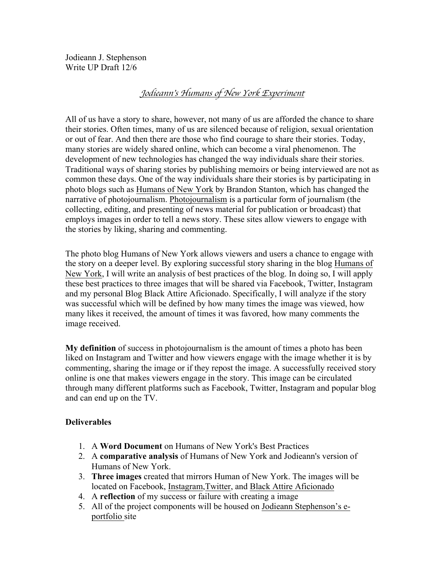Jodieann J. Stephenson Write UP Draft 12/6

# *Jodieann*'*s Humans of New York Experiment*

All of us have a story to share, however, not many of us are afforded the chance to share their stories. Often times, many of us are silenced because of religion, sexual orientation or out of fear. And then there are those who find courage to share their stories. Today, many stories are widely shared online, which can become a viral phenomenon. The development of new technologies has changed the way individuals share their stories. Traditional ways of sharing stories by publishing memoirs or being interviewed are not as common these days. One of the way individuals share their stories is by participating in photo blogs such as Humans of New York by Brandon Stanton, which has changed the narrative of photojournalism. Photojournalism is a particular form of journalism (the collecting, editing, and presenting of news material for publication or broadcast) that employs images in order to tell a news story. These sites allow viewers to engage with the stories by liking, sharing and commenting.

The photo blog Humans of New York allows viewers and users a chance to engage with the story on a deeper level. By exploring successful story sharing in the blog Humans of New York, I will write an analysis of best practices of the blog. In doing so, I will apply these best practices to three images that will be shared via Facebook, Twitter, Instagram and my personal Blog Black Attire Aficionado. Specifically, I will analyze if the story was successful which will be defined by how many times the image was viewed, how many likes it received, the amount of times it was favored, how many comments the image received.

**My definition** of success in photojournalism is the amount of times a photo has been liked on Instagram and Twitter and how viewers engage with the image whether it is by commenting, sharing the image or if they repost the image. A successfully received story online is one that makes viewers engage in the story. This image can be circulated through many different platforms such as Facebook, Twitter, Instagram and popular blog and can end up on the TV.

## **Deliverables**

- 1. A **Word Document** on Humans of New York's Best Practices
- 2. A **comparative analysis** of Humans of New York and Jodieann's version of Humans of New York.
- 3. **Three images** created that mirrors Human of New York. The images will be located on Facebook, Instagram,Twitter, and Black Attire Aficionado
- 4. A **reflection** of my success or failure with creating a image
- 5. All of the project components will be housed on Jodieann Stephenson's eportfolio site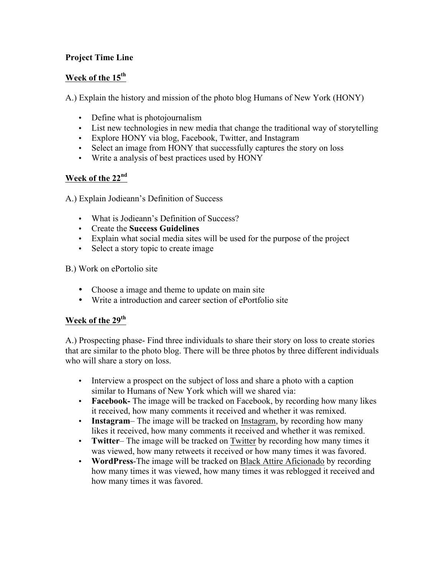# **Project Time Line**

# **Week of the 15th**

A.) Explain the history and mission of the photo blog Humans of New York (HONY)

- Define what is photojournalism
- List new technologies in new media that change the traditional way of storytelling
- Explore HONY via blog, Facebook, Twitter, and Instagram
- Select an image from HONY that successfully captures the story on loss
- Write a analysis of best practices used by HONY

# **Week of the 22nd**

A.) Explain Jodieann's Definition of Success

- What is Jodieann's Definition of Success?
- Create the **Success Guidelines**
- Explain what social media sites will be used for the purpose of the project
- Select a story topic to create image

B.) Work on ePortolio site

- Choose a image and theme to update on main site
- Write a introduction and career section of ePortfolio site

# **Week of the 29th**

A.) Prospecting phase- Find three individuals to share their story on loss to create stories that are similar to the photo blog. There will be three photos by three different individuals who will share a story on loss.

- Interview a prospect on the subject of loss and share a photo with a caption similar to Humans of New York which will we shared via:
- **Facebook-** The image will be tracked on Facebook, by recording how many likes it received, how many comments it received and whether it was remixed.
- **Instagram** The image will be tracked on Instagram, by recording how many likes it received, how many comments it received and whether it was remixed.
- **Twitter** The image will be tracked on Twitter by recording how many times it was viewed, how many retweets it received or how many times it was favored.
- **WordPress**-The image will be tracked on Black Attire Aficionado by recording how many times it was viewed, how many times it was reblogged it received and how many times it was favored.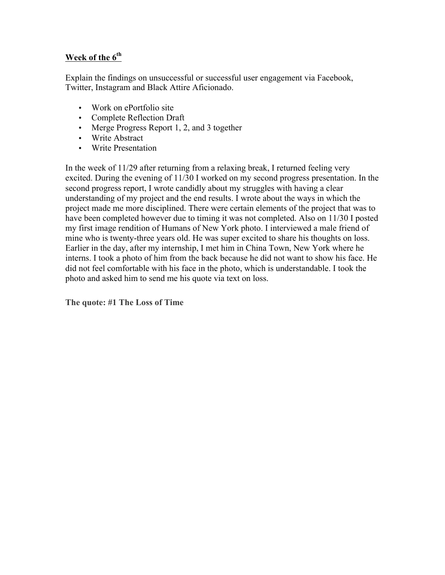# **Week of the 6th**

Explain the findings on unsuccessful or successful user engagement via Facebook, Twitter, Instagram and Black Attire Aficionado.

- Work on ePortfolio site
- Complete Reflection Draft
- Merge Progress Report 1, 2, and 3 together
- Write Abstract
- Write Presentation

In the week of 11/29 after returning from a relaxing break, I returned feeling very excited. During the evening of 11/30 I worked on my second progress presentation. In the second progress report, I wrote candidly about my struggles with having a clear understanding of my project and the end results. I wrote about the ways in which the project made me more disciplined. There were certain elements of the project that was to have been completed however due to timing it was not completed. Also on 11/30 I posted my first image rendition of Humans of New York photo. I interviewed a male friend of mine who is twenty-three years old. He was super excited to share his thoughts on loss. Earlier in the day, after my internship, I met him in China Town, New York where he interns. I took a photo of him from the back because he did not want to show his face. He did not feel comfortable with his face in the photo, which is understandable. I took the photo and asked him to send me his quote via text on loss.

**The quote: #1 The Loss of Time**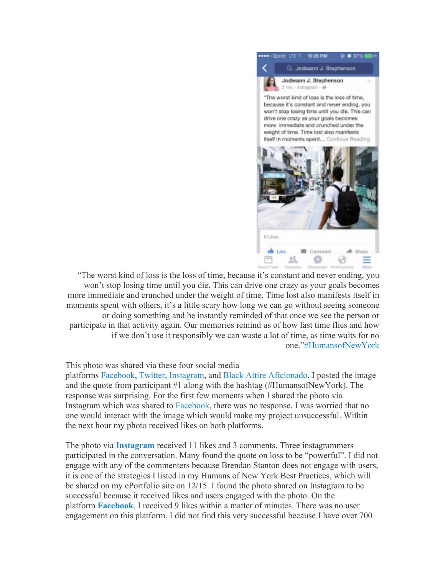

"The worst kind of loss is the loss of time, because it's constant and never ending, you won't stop losing time until you die. This can drive one crazy as your goals becomes more immediate and crunched under the weight of time. Time lost also manifests itself in moments spent with others, it's a little scary how long we can go without seeing someone or doing something and be instantly reminded of that once we see the person or participate in that activity again. Our memories remind us of how fast time flies and how if we don't use it responsibly we can waste a lot of time, as time waits for no one."#HumansofNewYork

#### This photo was shared via these four social media

platforms Facebook, Twitter, Instagram, and Black Attire Aficionado. I posted the image and the quote from participant #1 along with the hashtag (#HumansofNewYork). The response was surprising. For the first few moments when I shared the photo via Instagram which was shared to Facebook, there was no response. I was worried that no one would interact with the image which would make my project unsuccessful. Within the next hour my photo received likes on both platforms.

The photo via **Instagram** received 11 likes and 3 comments. Three instagrammers participated in the conversation. Many found the quote on loss to be "powerful". I did not engage with any of the commenters because Brendan Stanton does not engage with users, it is one of the strategies I listed in my Humans of New York Best Practices, which will be shared on my ePortfolio site on 12/15. I found the photo shared on Instagram to be successful because it received likes and users engaged with the photo. On the platform **Facebook**, I received 9 likes within a matter of minutes. There was no user engagement on this platform. I did not find this very successful because I have over 700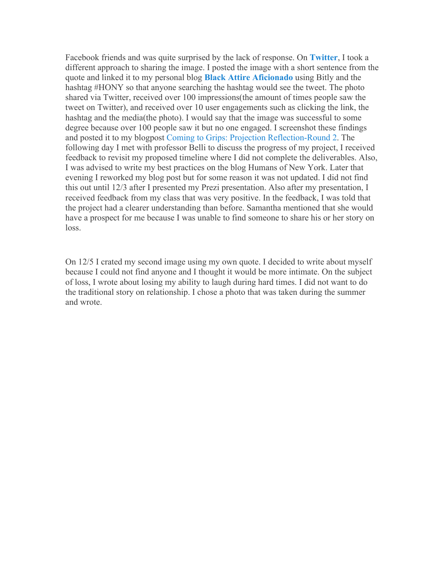Facebook friends and was quite surprised by the lack of response. On **Twitter**, I took a different approach to sharing the image. I posted the image with a short sentence from the quote and linked it to my personal blog **Black Attire Aficionado** using Bitly and the hashtag #HONY so that anyone searching the hashtag would see the tweet. The photo shared via Twitter, received over 100 impressions(the amount of times people saw the tweet on Twitter), and received over 10 user engagements such as clicking the link, the hashtag and the media(the photo). I would say that the image was successful to some degree because over 100 people saw it but no one engaged. I screenshot these findings and posted it to my blogpost Coming to Grips: Projection Reflection-Round 2. The following day I met with professor Belli to discuss the progress of my project, I received feedback to revisit my proposed timeline where I did not complete the deliverables. Also, I was advised to write my best practices on the blog Humans of New York. Later that evening I reworked my blog post but for some reason it was not updated. I did not find this out until 12/3 after I presented my Prezi presentation. Also after my presentation, I received feedback from my class that was very positive. In the feedback, I was told that the project had a clearer understanding than before. Samantha mentioned that she would have a prospect for me because I was unable to find someone to share his or her story on loss.

On 12/5 I crated my second image using my own quote. I decided to write about myself because I could not find anyone and I thought it would be more intimate. On the subject of loss, I wrote about losing my ability to laugh during hard times. I did not want to do the traditional story on relationship. I chose a photo that was taken during the summer and wrote.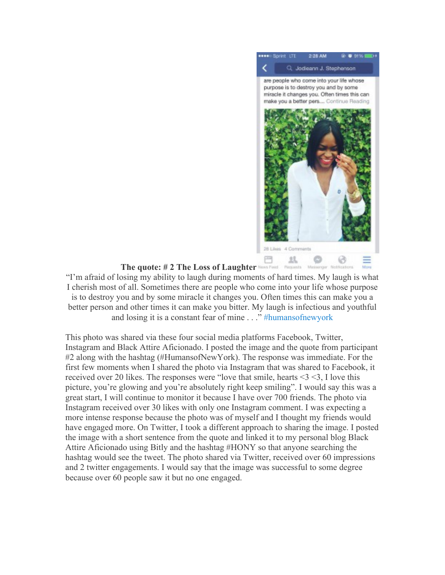

#### **The quote: # 2 The Loss of Laughter**

"I'm afraid of losing my ability to laugh during moments of hard times. My laugh is what I cherish most of all. Sometimes there are people who come into your life whose purpose is to destroy you and by some miracle it changes you. Often times this can make you a better person and other times it can make you bitter. My laugh is infectious and youthful and losing it is a constant fear of mine . . ." #humansofnewyork

This photo was shared via these four social media platforms Facebook, Twitter, Instagram and Black Attire Aficionado. I posted the image and the quote from participant #2 along with the hashtag (#HumansofNewYork). The response was immediate. For the first few moments when I shared the photo via Instagram that was shared to Facebook, it received over 20 likes. The responses were "love that smile, hearts <3 <3, I love this picture, you're glowing and you're absolutely right keep smiling". I would say this was a great start, I will continue to monitor it because I have over 700 friends. The photo via Instagram received over 30 likes with only one Instagram comment. I was expecting a more intense response because the photo was of myself and I thought my friends would have engaged more. On Twitter, I took a different approach to sharing the image. I posted the image with a short sentence from the quote and linked it to my personal blog Black Attire Aficionado using Bitly and the hashtag #HONY so that anyone searching the hashtag would see the tweet. The photo shared via Twitter, received over 60 impressions and 2 twitter engagements. I would say that the image was successful to some degree because over 60 people saw it but no one engaged.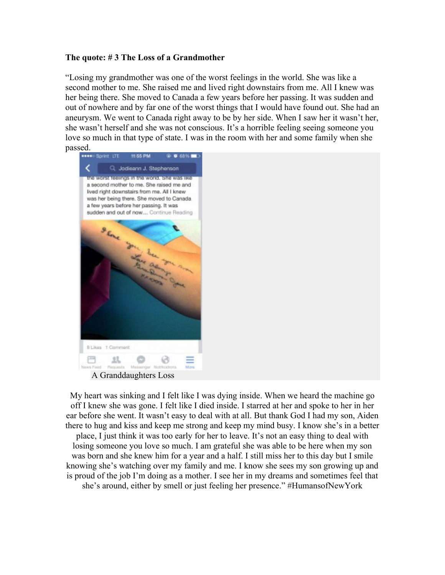#### **The quote: # 3 The Loss of a Grandmother**

"Losing my grandmother was one of the worst feelings in the world. She was like a second mother to me. She raised me and lived right downstairs from me. All I knew was her being there. She moved to Canada a few years before her passing. It was sudden and out of nowhere and by far one of the worst things that I would have found out. She had an aneurysm. We went to Canada right away to be by her side. When I saw her it wasn't her, she wasn't herself and she was not conscious. It's a horrible feeling seeing someone you love so much in that type of state. I was in the room with her and some family when she passed.



A Granddaughters Loss

My heart was sinking and I felt like I was dying inside. When we heard the machine go off I knew she was gone. I felt like I died inside. I starred at her and spoke to her in her ear before she went. It wasn't easy to deal with at all. But thank God I had my son, Aiden there to hug and kiss and keep me strong and keep my mind busy. I know she's in a better place, I just think it was too early for her to leave. It's not an easy thing to deal with losing someone you love so much. I am grateful she was able to be here when my son was born and she knew him for a year and a half. I still miss her to this day but I smile knowing she's watching over my family and me. I know she sees my son growing up and is proud of the job I'm doing as a mother. I see her in my dreams and sometimes feel that she's around, either by smell or just feeling her presence." #HumansofNewYork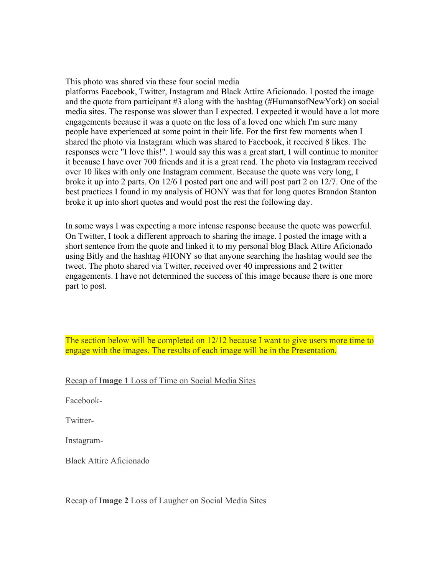This photo was shared via these four social media

platforms Facebook, Twitter, Instagram and Black Attire Aficionado. I posted the image and the quote from participant #3 along with the hashtag (#HumansofNewYork) on social media sites. The response was slower than I expected. I expected it would have a lot more engagements because it was a quote on the loss of a loved one which I'm sure many people have experienced at some point in their life. For the first few moments when I shared the photo via Instagram which was shared to Facebook, it received 8 likes. The responses were "I love this!". I would say this was a great start, I will continue to monitor it because I have over 700 friends and it is a great read. The photo via Instagram received over 10 likes with only one Instagram comment. Because the quote was very long, I broke it up into 2 parts. On 12/6 I posted part one and will post part 2 on 12/7. One of the best practices I found in my analysis of HONY was that for long quotes Brandon Stanton broke it up into short quotes and would post the rest the following day.

In some ways I was expecting a more intense response because the quote was powerful. On Twitter, I took a different approach to sharing the image. I posted the image with a short sentence from the quote and linked it to my personal blog Black Attire Aficionado using Bitly and the hashtag #HONY so that anyone searching the hashtag would see the tweet. The photo shared via Twitter, received over 40 impressions and 2 twitter engagements. I have not determined the success of this image because there is one more part to post.

The section below will be completed on 12/12 because I want to give users more time to engage with the images. The results of each image will be in the Presentation.

Recap of **Image 1** Loss of Time on Social Media Sites

Facebook-

Twitter-

Instagram-

Black Attire Aficionado

Recap of **Image 2** Loss of Laugher on Social Media Sites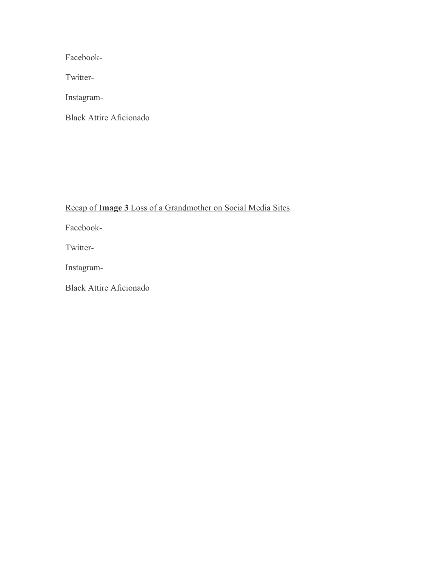Facebook-

Twitter-

Instagram-

Black Attire Aficionado

Recap of **Image 3** Loss of a Grandmother on Social Media Sites

Facebook-

Twitter-

Instagram-

Black Attire Aficionado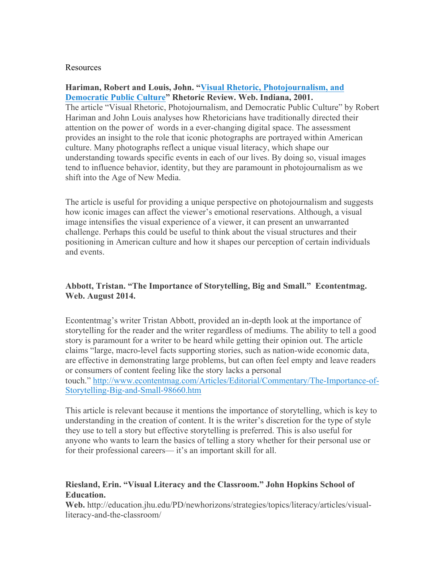#### Resources

#### **Hariman, Robert and Louis, John. "Visual Rhetoric, Photojournalism, and Democratic Public Culture" Rhetoric Review. Web. Indiana, 2001.**

The article "Visual Rhetoric, Photojournalism, and Democratic Public Culture" by Robert Hariman and John Louis analyses how Rhetoricians have traditionally directed their attention on the power of words in a ever-changing digital space. The assessment provides an insight to the role that iconic photographs are portrayed within American culture. Many photographs reflect a unique visual literacy, which shape our understanding towards specific events in each of our lives. By doing so, visual images tend to influence behavior, identity, but they are paramount in photojournalism as we shift into the Age of New Media.

The article is useful for providing a unique perspective on photojournalism and suggests how iconic images can affect the viewer's emotional reservations. Although, a visual image intensifies the visual experience of a viewer, it can present an unwarranted challenge. Perhaps this could be useful to think about the visual structures and their positioning in American culture and how it shapes our perception of certain individuals and events.

#### **Abbott, Tristan. "The Importance of Storytelling, Big and Small." Econtentmag. Web. August 2014.**

Econtentmag's writer Tristan Abbott, provided an in-depth look at the importance of storytelling for the reader and the writer regardless of mediums. The ability to tell a good story is paramount for a writer to be heard while getting their opinion out. The article claims "large, macro-level facts supporting stories, such as nation-wide economic data, are effective in demonstrating large problems, but can often feel empty and leave readers or consumers of content feeling like the story lacks a personal touch." http://www.econtentmag.com/Articles/Editorial/Commentary/The-Importance-of-Storytelling-Big-and-Small-98660.htm

This article is relevant because it mentions the importance of storytelling, which is key to understanding in the creation of content. It is the writer's discretion for the type of style they use to tell a story but effective storytelling is preferred. This is also useful for anyone who wants to learn the basics of telling a story whether for their personal use or for their professional careers— it's an important skill for all.

## **Riesland, Erin. "Visual Literacy and the Classroom." John Hopkins School of Education.**

**Web.** http://education.jhu.edu/PD/newhorizons/strategies/topics/literacy/articles/visualliteracy-and-the-classroom/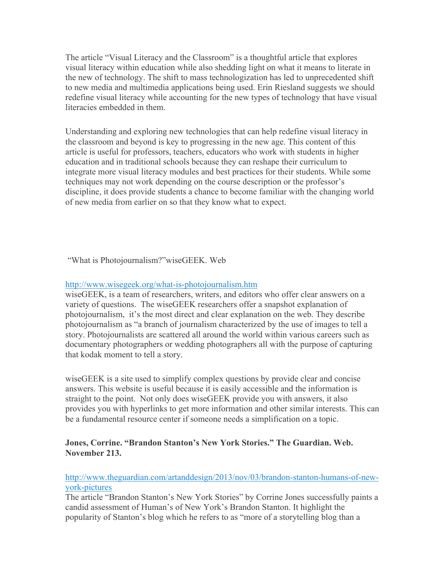The article "Visual Literacy and the Classroom" is a thoughtful article that explores visual literacy within education while also shedding light on what it means to literate in the new of technology. The shift to mass technologization has led to unprecedented shift to new media and multimedia applications being used. Erin Riesland suggests we should redefine visual literacy while accounting for the new types of technology that have visual literacies embedded in them.

Understanding and exploring new technologies that can help redefine visual literacy in the classroom and beyond is key to progressing in the new age. This content of this article is useful for professors, teachers, educators who work with students in higher education and in traditional schools because they can reshape their curriculum to integrate more visual literacy modules and best practices for their students. While some techniques may not work depending on the course description or the professor's discipline, it does provide students a chance to become familiar with the changing world of new media from earlier on so that they know what to expect.

"What is Photojournalism?"wiseGEEK. Web

#### http://www.wisegeek.org/what-is-photojournalism.htm

wiseGEEK, is a team of researchers, writers, and editors who offer clear answers on a variety of questions. The wiseGEEK researchers offer a snapshot explanation of photojournalism, it's the most direct and clear explanation on the web. They describe photojournalism as "a branch of journalism characterized by the use of images to tell a story. Photojournalists are scattered all around the world within various careers such as documentary photographers or wedding photographers all with the purpose of capturing that kodak moment to tell a story.

wiseGEEK is a site used to simplify complex questions by provide clear and concise answers. This website is useful because it is easily accessible and the information is straight to the point. Not only does wiseGEEK provide you with answers, it also provides you with hyperlinks to get more information and other similar interests. This can be a fundamental resource center if someone needs a simplification on a topic.

## **Jones, Corrine. "Brandon Stanton's New York Stories." The Guardian. Web. November 213.**

#### http://www.theguardian.com/artanddesign/2013/nov/03/brandon-stanton-humans-of-newyork-pictures

The article "Brandon Stanton's New York Stories" by Corrine Jones successfully paints a candid assessment of Human's of New York's Brandon Stanton. It highlight the popularity of Stanton's blog which he refers to as "more of a storytelling blog than a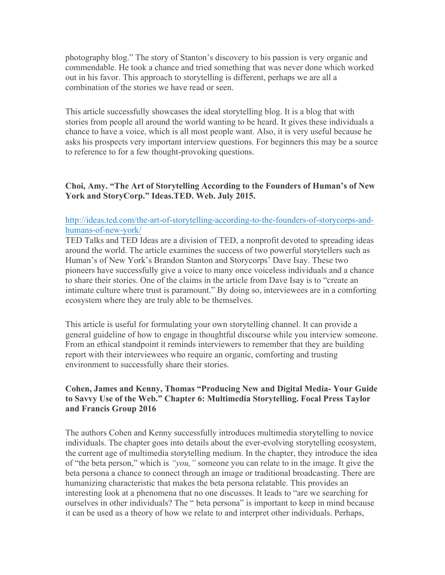photography blog." The story of Stanton's discovery to his passion is very organic and commendable. He took a chance and tried something that was never done which worked out in his favor. This approach to storytelling is different, perhaps we are all a combination of the stories we have read or seen.

This article successfully showcases the ideal storytelling blog. It is a blog that with stories from people all around the world wanting to be heard. It gives these individuals a chance to have a voice, which is all most people want. Also, it is very useful because he asks his prospects very important interview questions. For beginners this may be a source to reference to for a few thought-provoking questions.

### **Choi, Amy. "The Art of Storytelling According to the Founders of Human's of New York and StoryCorp." Ideas.TED. Web. July 2015.**

### http://ideas.ted.com/the-art-of-storytelling-according-to-the-founders-of-storycorps-andhumans-of-new-york/

TED Talks and TED Ideas are a division of TED, a nonprofit devoted to spreading ideas around the world. The article examines the success of two powerful storytellers such as Human's of New York's Brandon Stanton and Storycorps' Dave Isay. These two pioneers have successfully give a voice to many once voiceless individuals and a chance to share their stories. One of the claims in the article from Dave Isay is to "create an intimate culture where trust is paramount." By doing so, interviewees are in a comforting ecosystem where they are truly able to be themselves.

This article is useful for formulating your own storytelling channel. It can provide a general guideline of how to engage in thoughtful discourse while you interview someone. From an ethical standpoint it reminds interviewers to remember that they are building report with their interviewees who require an organic, comforting and trusting environment to successfully share their stories.

## **Cohen, James and Kenny, Thomas "Producing New and Digital Media- Your Guide to Savvy Use of the Web." Chapter 6: Multimedia Storytelling. Focal Press Taylor and Francis Group 2016**

The authors Cohen and Kenny successfully introduces multimedia storytelling to novice individuals. The chapter goes into details about the ever-evolving storytelling ecosystem, the current age of multimedia storytelling medium. In the chapter, they introduce the idea of "the beta person," which is *"you,"* someone you can relate to in the image. It give the beta persona a chance to connect through an image or traditional broadcasting. There are humanizing characteristic that makes the beta persona relatable. This provides an interesting look at a phenomena that no one discusses. It leads to "are we searching for ourselves in other individuals? The " beta persona" is important to keep in mind because it can be used as a theory of how we relate to and interpret other individuals. Perhaps,